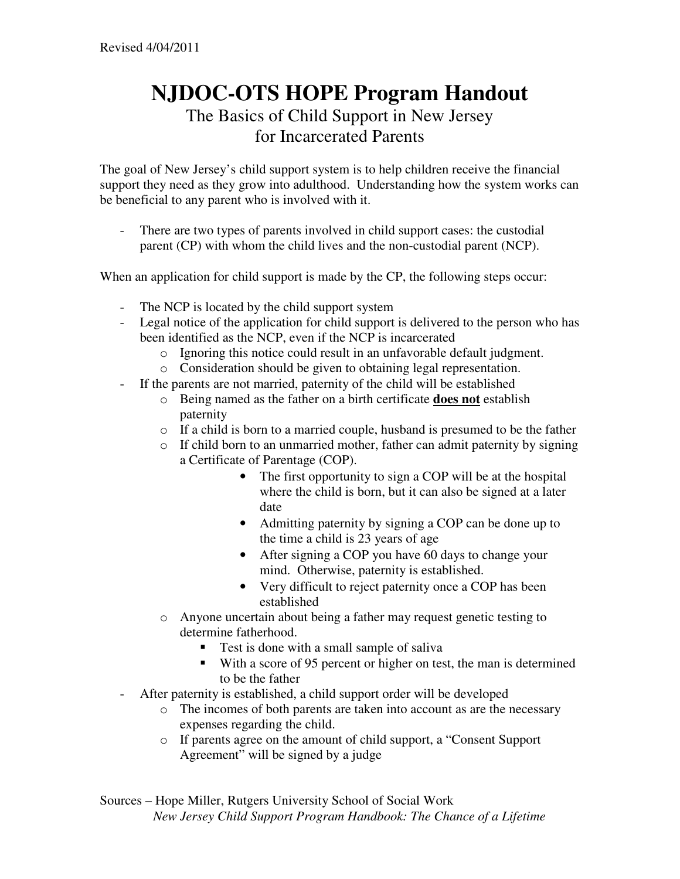## **NJDOC-OTS HOPE Program Handout**  The Basics of Child Support in New Jersey for Incarcerated Parents

The goal of New Jersey's child support system is to help children receive the financial support they need as they grow into adulthood. Understanding how the system works can be beneficial to any parent who is involved with it.

- There are two types of parents involved in child support cases: the custodial parent (CP) with whom the child lives and the non-custodial parent (NCP).

When an application for child support is made by the CP, the following steps occur:

- The NCP is located by the child support system
- Legal notice of the application for child support is delivered to the person who has been identified as the NCP, even if the NCP is incarcerated
	- o Ignoring this notice could result in an unfavorable default judgment.
	- o Consideration should be given to obtaining legal representation.
- If the parents are not married, paternity of the child will be established
	- o Being named as the father on a birth certificate **does not** establish paternity
	- $\circ$  If a child is born to a married couple, husband is presumed to be the father
	- o If child born to an unmarried mother, father can admit paternity by signing a Certificate of Parentage (COP).
		- The first opportunity to sign a COP will be at the hospital where the child is born, but it can also be signed at a later date
		- Admitting paternity by signing a COP can be done up to the time a child is 23 years of age
		- After signing a COP you have 60 days to change your mind. Otherwise, paternity is established.
		- Very difficult to reject paternity once a COP has been established
	- o Anyone uncertain about being a father may request genetic testing to determine fatherhood.
		- Test is done with a small sample of saliva
		- With a score of 95 percent or higher on test, the man is determined to be the father
- After paternity is established, a child support order will be developed
	- o The incomes of both parents are taken into account as are the necessary expenses regarding the child.
	- o If parents agree on the amount of child support, a "Consent Support Agreement" will be signed by a judge